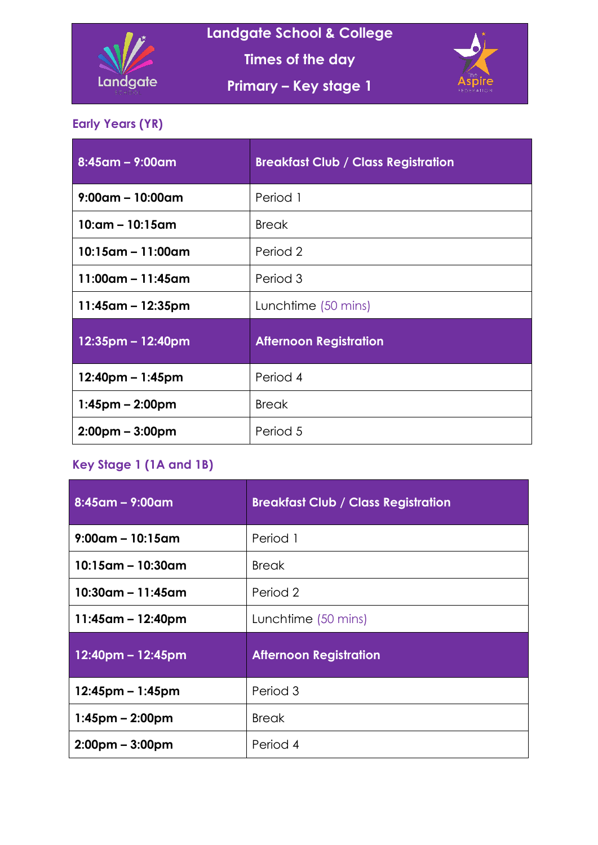

# **Landgate School & College**

**Times of the day**

**Primary – Key stage 1**



#### **Early Years (YR)**

| $8:45$ am – 9:00am                | <b>Breakfast Club / Class Registration</b> |
|-----------------------------------|--------------------------------------------|
| $9:00$ am – 10:00am               | Period 1                                   |
| $10$ :am – 10:15am                | <b>Break</b>                               |
| $10:15$ am – 11:00am              | Period 2                                   |
| $11:00$ am – 11:45am              | Period 3                                   |
| $11:45$ am – 12:35pm              | Lunchtime (50 mins)                        |
| $12:35$ pm – 12:40pm              | <b>Afternoon Registration</b>              |
| $12:40$ pm – 1:45pm               | Period 4                                   |
| $1:45$ pm – 2:00pm                | <b>Break</b>                               |
| $2:00 \text{pm} - 3:00 \text{pm}$ | Period 5                                   |

## **Key Stage 1 (1A and 1B)**

| $8:45$ am – 9:00am    | <b>Breakfast Club / Class Registration</b> |
|-----------------------|--------------------------------------------|
| $9:00$ am – 10:15am   | Period 1                                   |
| 10:15am - 10:30am     | <b>Break</b>                               |
| $10:30$ am – 11:45am  | Period 2                                   |
| $11:45$ am – 12:40pm  | Lunchtime (50 mins)                        |
| $12:40$ pm – 12:45pm  | <b>Afternoon Registration</b>              |
| $12:45$ pm – 1:45pm   | Period 3                                   |
| $1:45$ pm – 2:00pm    | <b>Break</b>                               |
| $2:00$ pm – $3:00$ pm | Period 4                                   |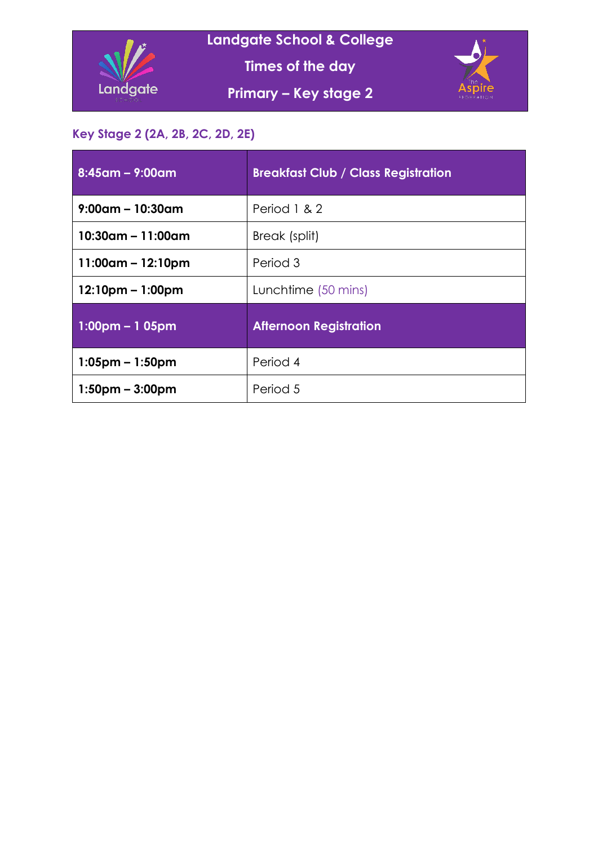

**Landgate School & College**

**Times of the day**

**Primary – Key stage 2**



## **Key Stage 2 (2A, 2B, 2C, 2D, 2E)**

| $8:45$ am – 9:00am    | <b>Breakfast Club / Class Registration</b> |
|-----------------------|--------------------------------------------|
| $9:00$ am – 10:30am   | Period 1 & 2                               |
| $10:30$ am – 11:00am  | Break (split)                              |
| $11:00$ am – 12:10pm  | Period 3                                   |
| $12:10$ pm – 1:00pm   | Lunchtime (50 mins)                        |
| $1:00$ pm – 1 05pm    | <b>Afternoon Registration</b>              |
| $1:05$ pm – 1:50pm    | Period 4                                   |
| $1:50$ pm – $3:00$ pm | Period 5                                   |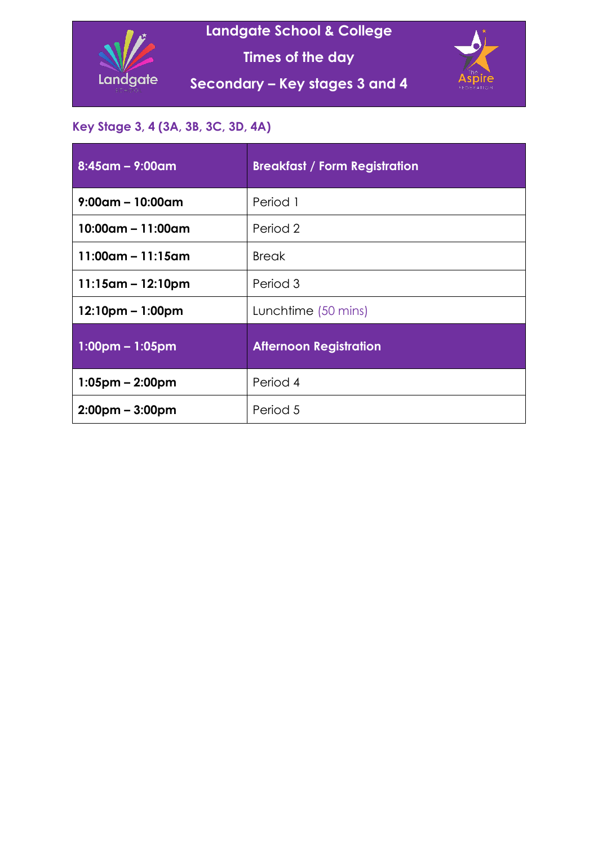

# **Landgate School & College**

**Times of the day**

**Secondary – Key stages 3 and 4**



#### **Key Stage 3, 4 (3A, 3B, 3C, 3D, 4A)**

| $8:45$ am – 9:00am                | <b>Breakfast / Form Registration</b> |
|-----------------------------------|--------------------------------------|
| $9:00$ am – 10:00am               | Period 1                             |
| $10:00$ am – 11:00am              | Period 2                             |
| $11:00$ am – 11:15am              | <b>Break</b>                         |
| $11:15$ am – 12:10pm              | Period 3                             |
| $12:10$ pm – 1:00pm               | Lunchtime (50 mins)                  |
| $1:00$ pm – $1:05$ pm             | <b>Afternoon Registration</b>        |
| $1:05$ pm – 2:00pm                | Period 4                             |
| $2:00 \text{pm} - 3:00 \text{pm}$ | Period 5                             |